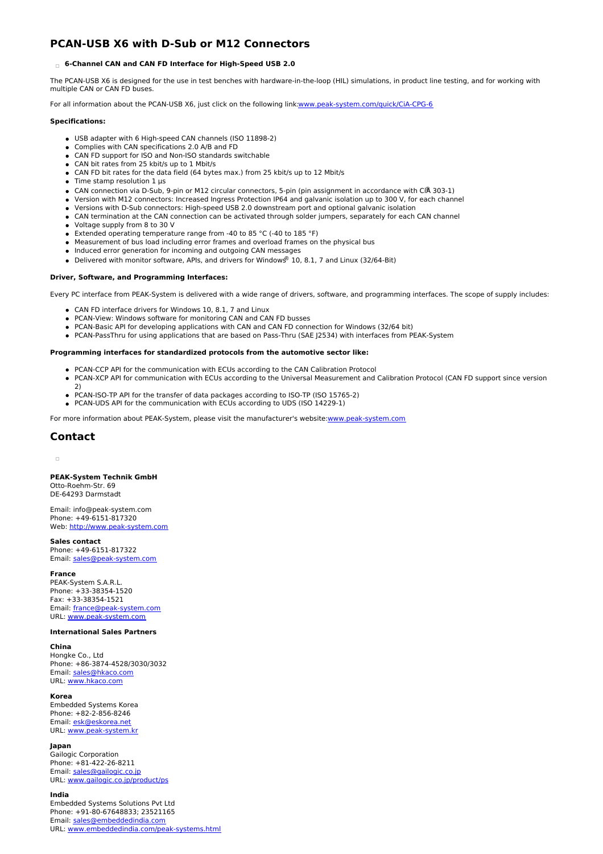# **PCAN-USB X6 with D-Sub or M12 Connectors**

## **6-Channel CAN and CAN FD Interface for High-Speed USB 2.0**

The PCAN-USB X6 is designed for the use in test benches with hardware-in-the-loop (HIL) simulations, in product line testing, and for working with multiple CAN or CAN FD buses.

For all information about the PCAN-USB X6, just click on the following link[:www.peak-system.com/quick/CiA-CPG-6](https://www.peak-system.com/quick/CiA-CPG-6)

#### **Specifications:**

- USB adapter with 6 High-speed CAN channels (ISO 11898-2)
- Complies with CAN specifications 2.0 A/B and FD
- CAN FD support for ISO and Non-ISO standards switchable
- CAN bit rates from 25 kbit/s up to 1 Mbit/s
- CAN FD bit rates for the data field (64 bytes max.) from 25 kbit/s up to 12 Mbit/s
- $\bullet$  Time stamp resolution 1 μs
- CAN connection via D-Sub, 9-pin or M12 circular connectors, 5-pin (pin assignment in accordance with CiA 303-1)
- Version with M12 connectors: Increased Ingress Protection IP64 and galvanic isolation up to 300 V, for each channel
- Versions with D-Sub connectors: High-speed USB 2.0 downstream port and optional galvanic isolation
- CAN termination at the CAN connection can be activated through solder jumpers, separately for each CAN channel
- Voltage supply from 8 to 30 V
- Extended operating temperature range from -40 to 85 °C (-40 to 185 °F)
- Measurement of bus load including error frames and overload frames on the physical bus
- $\bullet$  Induced error generation for incoming and outgoing CAN messages
- Delivered with monitor software, APIs, and drivers for Windows® 10, 8.1, 7 and Linux (32/64-Bit)

### **Driver, Software, and Programming Interfaces:**

Every PC interface from PEAK-System is delivered with a wide range of drivers, software, and programming interfaces. The scope of supply includes:

- CAN FD interface drivers for Windows 10, 8.1, 7 and Linux
- PCAN-View: Windows software for monitoring CAN and CAN FD busses
- PCAN-Basic API for developing applications with CAN and CAN FD connection for Windows (32/64 bit)
- PCAN-PassThru for using applications that are based on Pass-Thru (SAE J2534) with interfaces from PEAK-System

#### **Programming interfaces for standardized protocols from the automotive sector like:**

- PCAN-CCP API for the communication with ECUs according to the CAN Calibration Protocol
- PCAN-XCP API for communication with ECUs according to the Universal Measurement and Calibration Protocol (CAN FD support since version 2)
- PCAN-ISO-TP API for the transfer of data packages according to ISO-TP (ISO 15765-2)
- PCAN-UDS API for the communication with ECUs according to UDS (ISO 14229-1)

For more information about PEAK-System, please visit the manufacturer's website[:www.peak-system.com](https://www.peak-system.com)

## **Contact**

 $\alpha$ 

### **PEAK-System Technik GmbH**

Otto-Roehm-Str. 69 DE-64293 Darmstadt

Email: info@peak-system.com Phone: +49-6151-817320 Web: <http://www.peak-system.com>

**Sales contact**

Phone: +49-6151-817322 Email: [sales@peak-system.com](mailto:sales@peak-system.com)

#### **France**

PEAK-System S.A.R.L. Phone: +33-38354-1520 Fax: +33-38354-1521 Email: [france@peak-system.com](mailto:france@peak-system.com) URL: [www.peak-system.com](http://www.peak-system.com)

#### **International Sales Partners**

### **China**

Hongke Co., Ltd Phone: +86-3874-4528/3030/3032 Email: [sales@hkaco.com](mailto:sales@hkaco.com) URL: [www.hkaco.com](http://www.hkaco.com)

#### **Korea**

Embedded Systems Korea Phone: +82-2-856-8246 Email: [esk@eskorea.net](mailto:esk@eskorea.net) URL: [www.peak-system.kr](http://www.peak-system.kr)

#### **Japan**

Gailogic Corporation Phone: +81-422-26-8211 Email: [sales@gailogic.co.jp](mailto:sales@gailogic.co.jp) URL: [www.gailogic.co.jp/product/ps](http://www.gailogic.co.jp/product/ps)

#### **India**

Embedded Systems Solutions Pvt Ltd Phone: +91-80-67648833; 23521165 Email: [sales@embeddedindia.com](mailto:sales@embeddedindia.com) URL: [www.embeddedindia.com/peak-systems.html](http://www.embeddedindia.com/peak-systems.html)